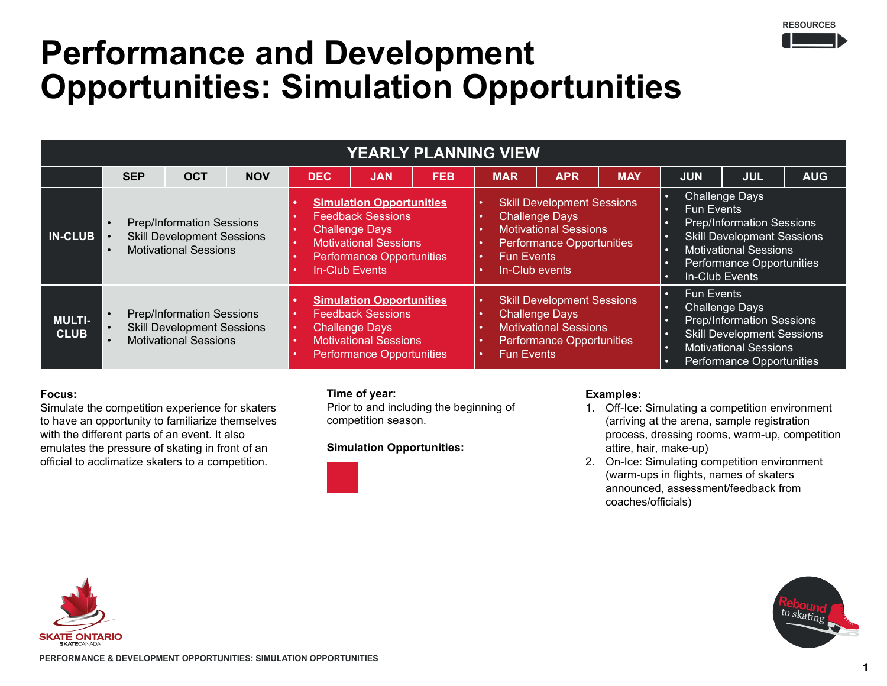

## **Performance and Development Opportunities: Simulation Opportunities**

| YEARLY PLANNING VIEW         |                                                                                                                                              |                                                                                                       |            |                                                                                                                                                                            |                                                                                                                                                   |            |                                                                                                                                                                       |                                                                                                                                |            |                                                                                                                                                                                                                                                        |                                                                                                                                                             |            |
|------------------------------|----------------------------------------------------------------------------------------------------------------------------------------------|-------------------------------------------------------------------------------------------------------|------------|----------------------------------------------------------------------------------------------------------------------------------------------------------------------------|---------------------------------------------------------------------------------------------------------------------------------------------------|------------|-----------------------------------------------------------------------------------------------------------------------------------------------------------------------|--------------------------------------------------------------------------------------------------------------------------------|------------|--------------------------------------------------------------------------------------------------------------------------------------------------------------------------------------------------------------------------------------------------------|-------------------------------------------------------------------------------------------------------------------------------------------------------------|------------|
|                              | <b>SEP</b>                                                                                                                                   | <b>OCT</b>                                                                                            | <b>NOV</b> | <b>DEC</b>                                                                                                                                                                 | <b>JAN</b>                                                                                                                                        | <b>FEB</b> | <b>MAR</b>                                                                                                                                                            | <b>APR</b>                                                                                                                     | <b>MAY</b> | <b>JUN</b>                                                                                                                                                                                                                                             | <b>JUL</b>                                                                                                                                                  | <b>AUG</b> |
| <b>IN-CLUB</b>               | <b>Prep/Information Sessions</b><br>$\bullet$<br><b>Skill Development Sessions</b><br>$\bullet$<br><b>Motivational Sessions</b><br>$\bullet$ |                                                                                                       |            | <b>Simulation Opportunities</b><br><b>Feedback Sessions</b><br><b>Challenge Days</b><br><b>Motivational Sessions</b><br><b>Performance Opportunities</b><br>In-Club Events |                                                                                                                                                   |            | <b>Skill Development Sessions</b><br><b>Challenge Days</b><br><b>Motivational Sessions</b><br><b>Performance Opportunities</b><br><b>Fun Events</b><br>In-Club events |                                                                                                                                |            | <b>Challenge Days</b><br>$\bullet$<br><b>Fun Events</b><br>$\bullet$<br><b>Prep/Information Sessions</b><br><b>Skill Development Sessions</b><br>$\bullet$<br><b>Motivational Sessions</b><br>$\bullet$<br>Performance Opportunities<br>In-Club Events |                                                                                                                                                             |            |
| <b>MULTI-</b><br><b>CLUB</b> |                                                                                                                                              | <b>Prep/Information Sessions</b><br><b>Skill Development Sessions</b><br><b>Motivational Sessions</b> |            |                                                                                                                                                                            | <b>Simulation Opportunities</b><br><b>Feedback Sessions</b><br><b>Challenge Days</b><br><b>Motivational Sessions</b><br>Performance Opportunities |            | <b>Fun Events</b>                                                                                                                                                     | <b>Skill Development Sessions</b><br><b>Challenge Days</b><br><b>Motivational Sessions</b><br><b>Performance Opportunities</b> |            | <b>Fun Events</b><br>$\bullet$<br>$\bullet$<br>$\bullet$<br>$\bullet$<br>$\bullet$<br>o                                                                                                                                                                | <b>Challenge Days</b><br><b>Prep/Information Sessions</b><br><b>Skill Development Sessions</b><br><b>Motivational Sessions</b><br>Performance Opportunities |            |

## **Focus:**

Simulate the competition experience for skaters to have an opportunity to familiarize themselves with the different parts of an event. It also emulates the pressure of skating in front of an official to acclimatize skaters to a competition.

### **Time of year:**

Prior to and including the beginning of competition season.

#### **Simulation Opportunities:**



#### **Examples:**

- 1. Off-Ice: Simulating a competition environment (arriving at the arena, sample registration process, dressing rooms, warm-up, competition attire, hair, make-up)
- 2. On-Ice: Simulating competition environment (warm-ups in flights, names of skaters announced, assessment/feedback from coaches/officials)



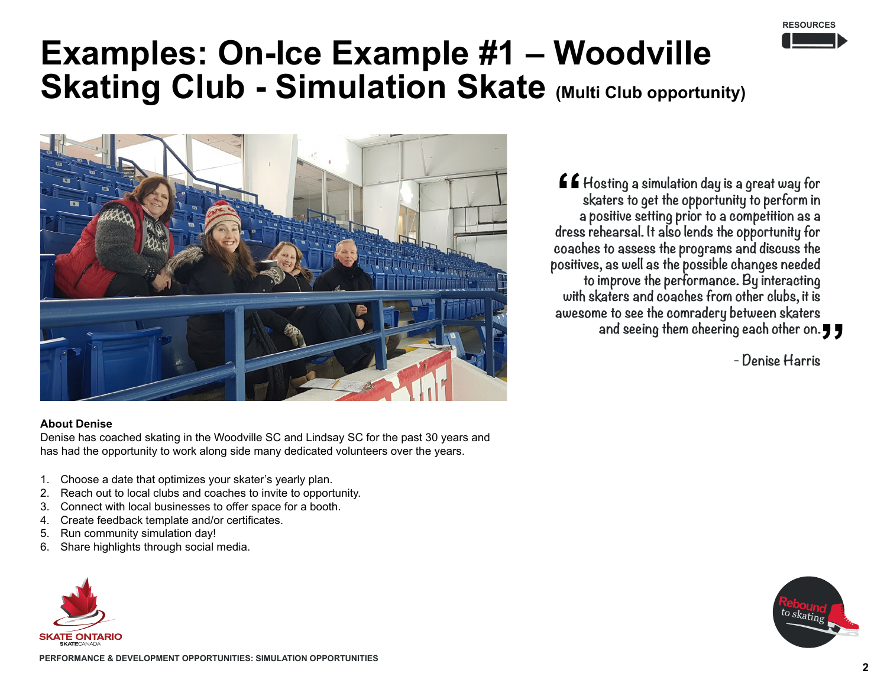

## **Examples: On-Ice Example #1 – Woodville Skating Club - Simulation Skate (Multi Club opportunity)**



#### **About Denise**

Denise has coached skating in the Woodville SC and Lindsay SC for the past 30 years and has had the opportunity to work along side many dedicated volunteers over the years.

- 1. Choose a date that optimizes your skater's yearly plan.
- 2. Reach out to local clubs and coaches to invite to opportunity.
- 3. Connect with local businesses to offer space for a booth.
- 4. Create feedback template and/or certificates.
- 5. Run community simulation day!
- 6. Share highlights through social media.



**to improve the performance. By interacting with skaters and coaches from other clubs, it is awesome to see the comradery between skaters and seeing them cheering each other on. - Denise Harris**

**Hosting a simulation day is a great way for skaters to get the opportunity to perform in a positive setting prior to a competition as a dress rehearsal. It also lends the opportunity for coaches to assess the programs and discuss the positives, as well as the possible changes needed** 

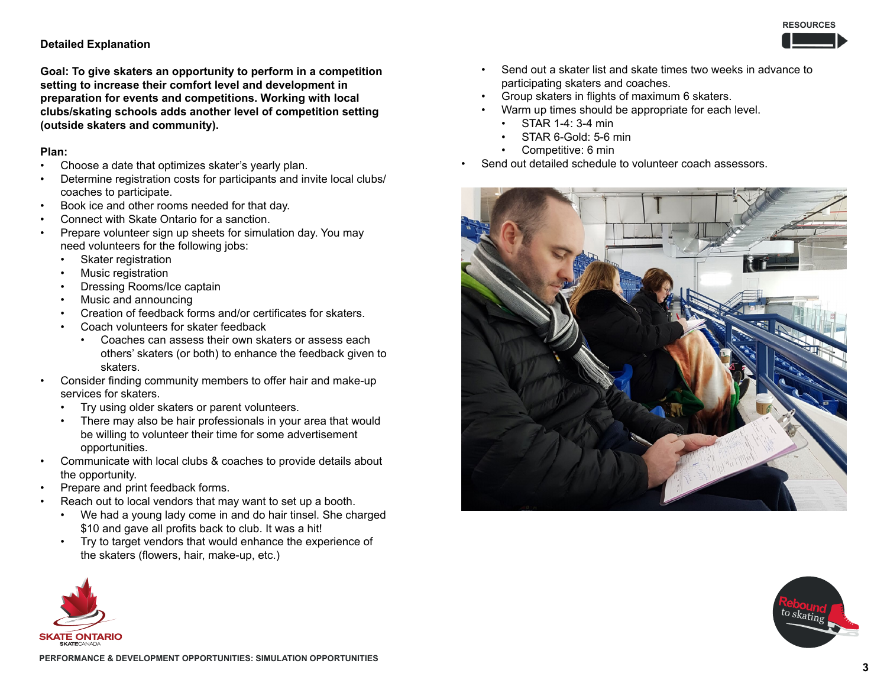

#### **Detailed Explanation**

**Goal: To give skaters an opportunity to perform in a competition setting to increase their comfort level and development in preparation for events and competitions. Working with local clubs/skating schools adds another level of competition setting (outside skaters and community).**

#### **Plan:**

- Choose a date that optimizes skater's yearly plan.
- Determine registration costs for participants and invite local clubs/ coaches to participate.
- Book ice and other rooms needed for that day.
- Connect with Skate Ontario for a sanction.
- Prepare volunteer sign up sheets for simulation day. You may need volunteers for the following jobs:
	- Skater registration
	- Music registration
	- Dressing Rooms/Ice captain
	- Music and announcing
	- Creation of feedback forms and/or certificates for skaters.
	- Coach volunteers for skater feedback
		- Coaches can assess their own skaters or assess each others' skaters (or both) to enhance the feedback given to skaters.
- Consider finding community members to offer hair and make-up services for skaters.
	- Try using older skaters or parent volunteers.
	- There may also be hair professionals in your area that would be willing to volunteer their time for some advertisement opportunities.
- Communicate with local clubs & coaches to provide details about the opportunity.
- Prepare and print feedback forms.
- Reach out to local vendors that may want to set up a booth.
	- We had a young lady come in and do hair tinsel. She charged \$10 and gave all profits back to club. It was a hit!
	- Try to target vendors that would enhance the experience of the skaters (flowers, hair, make-up, etc.)



- Send out a skater list and skate times two weeks in advance to participating skaters and coaches.
- Group skaters in flights of maximum 6 skaters.
- Warm up times should be appropriate for each level.
	- STAR 1-4: 3-4 min
	- STAR 6-Gold: 5-6 min
	- Competitive: 6 min
- Send out detailed schedule to volunteer coach assessors.



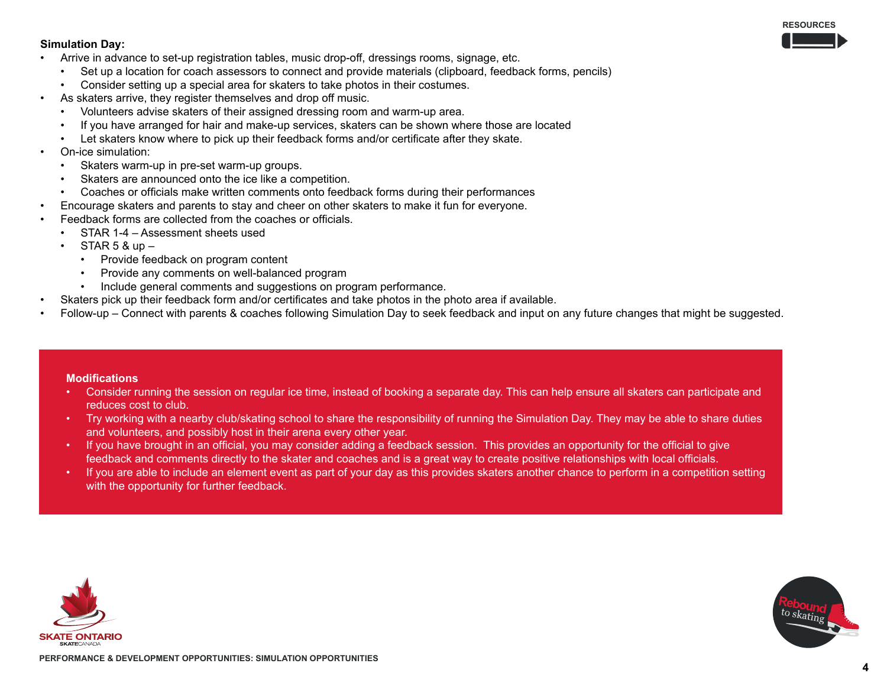#### **RESOURCES**

#### **Simulation Day:**

- Arrive in advance to set-up registration tables, music drop-off, dressings rooms, signage, etc.
	- Set up a location for coach assessors to connect and provide materials (clipboard, feedback forms, pencils)
	- Consider setting up a special area for skaters to take photos in their costumes.
- As skaters arrive, they register themselves and drop off music.
	- Volunteers advise skaters of their assigned dressing room and warm-up area.
	- If you have arranged for hair and make-up services, skaters can be shown where those are located
	- Let skaters know where to pick up their feedback forms and/or certificate after they skate.
- On-ice simulation:
	- Skaters warm-up in pre-set warm-up groups.
	- Skaters are announced onto the ice like a competition.
	- Coaches or officials make written comments onto feedback forms during their performances
- Encourage skaters and parents to stay and cheer on other skaters to make it fun for everyone.
- Feedback forms are collected from the coaches or officials.
	- STAR 1-4 Assessment sheets used
	- $STAR 5 & up -$ 
		- Provide feedback on program content
		- Provide any comments on well-balanced program
		- Include general comments and suggestions on program performance.
- Skaters pick up their feedback form and/or certificates and take photos in the photo area if available.
- Follow-up Connect with parents & coaches following Simulation Day to seek feedback and input on any future changes that might be suggested.

#### **Modifications**

- Consider running the session on regular ice time, instead of booking a separate day. This can help ensure all skaters can participate and reduces cost to club.
- Try working with a nearby club/skating school to share the responsibility of running the Simulation Day. They may be able to share duties and volunteers, and possibly host in their arena every other year.
- If you have brought in an official, you may consider adding a feedback session. This provides an opportunity for the official to give feedback and comments directly to the skater and coaches and is a great way to create positive relationships with local officials.
- If you are able to include an element event as part of your day as this provides skaters another chance to perform in a competition setting with the opportunity for further feedback.



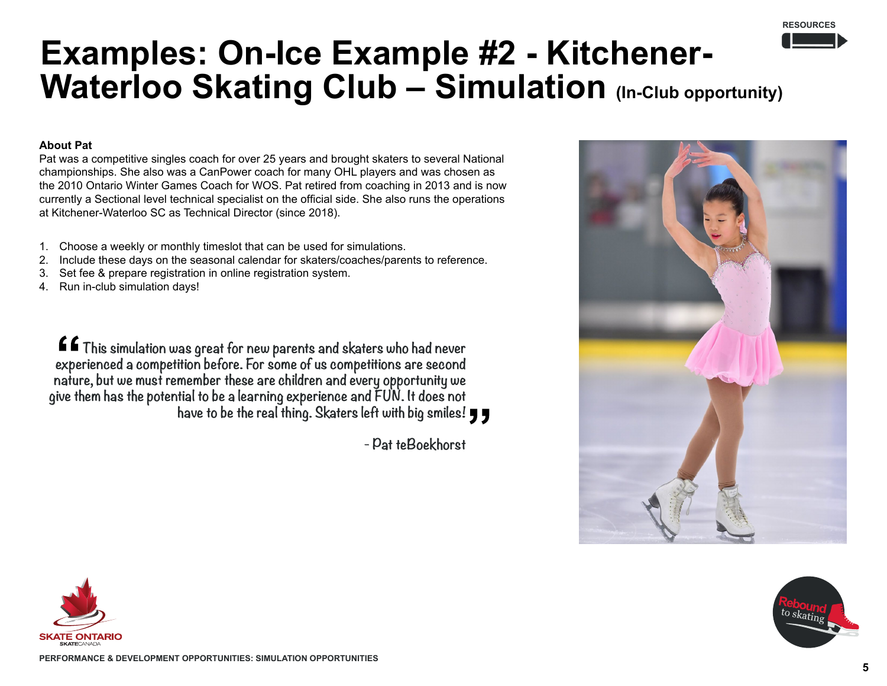## **Examples: On-Ice Example #2 - Kitchener-**Waterloo Skating Club - Simulation (In-Club opportunity)

## **About Pat**

Pat was a competitive singles coach for over 25 years and brought skaters to several National championships. She also was a CanPower coach for many OHL players and was chosen as the 2010 Ontario Winter Games Coach for WOS. Pat retired from coaching in 2013 and is now currently a Sectional level technical specialist on the official side. She also runs the operations at Kitchener-Waterloo SC as Technical Director (since 2018).

- 1. Choose a weekly or monthly timeslot that can be used for simulations.
- 2. Include these days on the seasonal calendar for skaters/coaches/parents to reference.
- 3. Set fee & prepare registration in online registration system.
- 4. Run in-club simulation days!

**This simulation was great for new parents and skaters who had never experienced a competition before. For some of us competitions are second nature, but we must remember these are children and every opportunity we give them has the potential to be a learning experience and FUN. It does not have to be the real thing. Skaters left with big smiles!**

**- Pat teBoekhorst**





**RESOURCES**

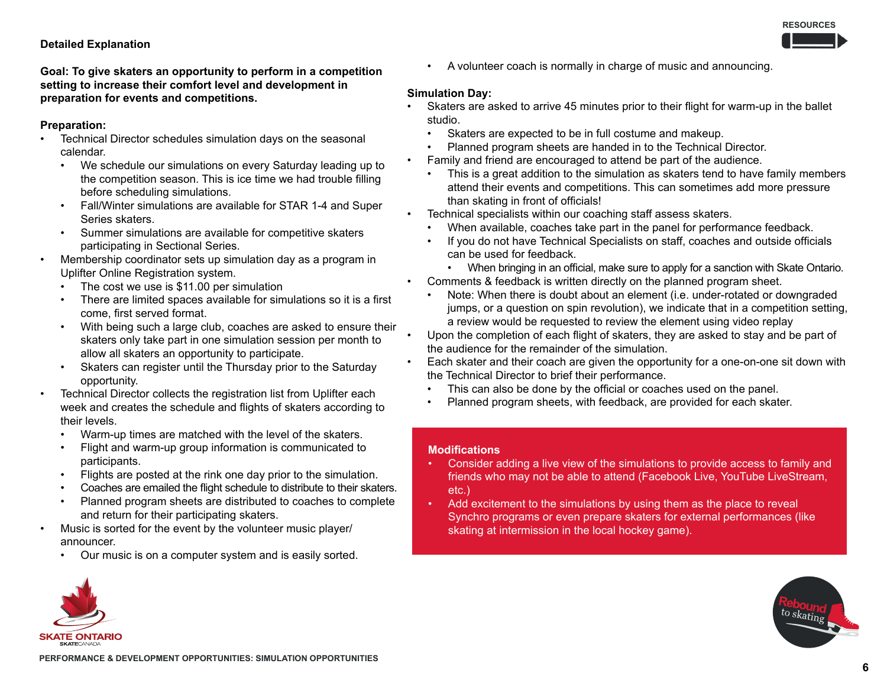## **Detailed Explanation**

**Goal: To give skaters an opportunity to perform in a competition setting to increase their comfort level and development in preparation for events and competitions.** 

## **Preparation:**

- Technical Director schedules simulation days on the seasonal calendar.
	- We schedule our simulations on every Saturday leading up to the competition season. This is ice time we had trouble filling before scheduling simulations.
	- Fall/Winter simulations are available for STAR 1-4 and Super Series skaters.
	- Summer simulations are available for competitive skaters participating in Sectional Series.
- Membership coordinator sets up simulation day as a program in Uplifter Online Registration system.
	- The cost we use is \$11.00 per simulation
	- There are limited spaces available for simulations so it is a first come, first served format.
	- With being such a large club, coaches are asked to ensure their skaters only take part in one simulation session per month to allow all skaters an opportunity to participate.
	- Skaters can register until the Thursday prior to the Saturday opportunity.
- Technical Director collects the registration list from Uplifter each week and creates the schedule and flights of skaters according to their levels.
	- Warm-up times are matched with the level of the skaters.
	- Flight and warm-up group information is communicated to participants.
	- Flights are posted at the rink one day prior to the simulation.
	- Coaches are emailed the flight schedule to distribute to their skaters.
	- Planned program sheets are distributed to coaches to complete and return for their participating skaters.
- Music is sorted for the event by the volunteer music player/ announcer.
	- Our music is on a computer system and is easily sorted.

• A volunteer coach is normally in charge of music and announcing.

## **Simulation Day:**

- Skaters are asked to arrive 45 minutes prior to their flight for warm-up in the ballet studio.
- Skaters are expected to be in full costume and makeup.
- Planned program sheets are handed in to the Technical Director.
- Family and friend are encouraged to attend be part of the audience.
	- This is a great addition to the simulation as skaters tend to have family members attend their events and competitions. This can sometimes add more pressure than skating in front of officials!

• Technical specialists within our coaching staff assess skaters.

- When available, coaches take part in the panel for performance feedback.
- If you do not have Technical Specialists on staff, coaches and outside officials can be used for feedback.
- When bringing in an official, make sure to apply for a sanction with Skate Ontario. • Comments & feedback is written directly on the planned program sheet.
- Note: When there is doubt about an element (i.e. under-rotated or downgraded jumps, or a question on spin revolution), we indicate that in a competition setting, a review would be requested to review the element using video replay
- Upon the completion of each flight of skaters, they are asked to stay and be part of the audience for the remainder of the simulation.
- Each skater and their coach are given the opportunity for a one-on-one sit down with the Technical Director to brief their performance.
	- This can also be done by the official or coaches used on the panel.
	- Planned program sheets, with feedback, are provided for each skater.

### **Modifications**

- Consider adding a live view of the simulations to provide access to family and friends who may not be able to attend (Facebook Live, YouTube LiveStream, etc.)
- Add excitement to the simulations by using them as the place to reveal Synchro programs or even prepare skaters for external performances (like skating at intermission in the local hockey game).



**RESOURCES**